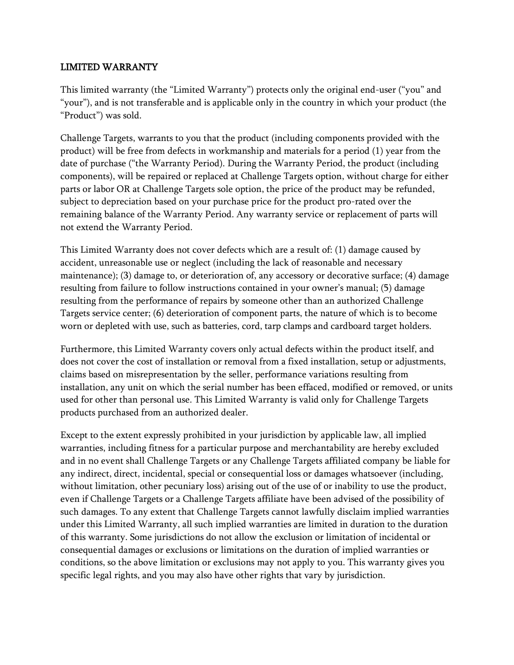#### LIMITED WARRANTY

This limited warranty (the "Limited Warranty") protects only the original end-user ("you" and "your"), and is not transferable and is applicable only in the country in which your product (the "Product") was sold.

Challenge Targets, warrants to you that the product (including components provided with the product) will be free from defects in workmanship and materials for a period (1) year from the date of purchase ("the Warranty Period). During the Warranty Period, the product (including components), will be repaired or replaced at Challenge Targets option, without charge for either parts or labor OR at Challenge Targets sole option, the price of the product may be refunded, subject to depreciation based on your purchase price for the product pro-rated over the remaining balance of the Warranty Period. Any warranty service or replacement of parts will not extend the Warranty Period.

This Limited Warranty does not cover defects which are a result of: (1) damage caused by accident, unreasonable use or neglect (including the lack of reasonable and necessary maintenance); (3) damage to, or deterioration of, any accessory or decorative surface; (4) damage resulting from failure to follow instructions contained in your owner's manual; (5) damage resulting from the performance of repairs by someone other than an authorized Challenge Targets service center; (6) deterioration of component parts, the nature of which is to become worn or depleted with use, such as batteries, cord, tarp clamps and cardboard target holders.

Furthermore, this Limited Warranty covers only actual defects within the product itself, and does not cover the cost of installation or removal from a fixed installation, setup or adjustments, claims based on misrepresentation by the seller, performance variations resulting from installation, any unit on which the serial number has been effaced, modified or removed, or units used for other than personal use. This Limited Warranty is valid only for Challenge Targets products purchased from an authorized dealer.

Except to the extent expressly prohibited in your jurisdiction by applicable law, all implied warranties, including fitness for a particular purpose and merchantability are hereby excluded and in no event shall Challenge Targets or any Challenge Targets affiliated company be liable for any indirect, direct, incidental, special or consequential loss or damages whatsoever (including, without limitation, other pecuniary loss) arising out of the use of or inability to use the product, even if Challenge Targets or a Challenge Targets affiliate have been advised of the possibility of such damages. To any extent that Challenge Targets cannot lawfully disclaim implied warranties under this Limited Warranty, all such implied warranties are limited in duration to the duration of this warranty. Some jurisdictions do not allow the exclusion or limitation of incidental or consequential damages or exclusions or limitations on the duration of implied warranties or conditions, so the above limitation or exclusions may not apply to you. This warranty gives you specific legal rights, and you may also have other rights that vary by jurisdiction.